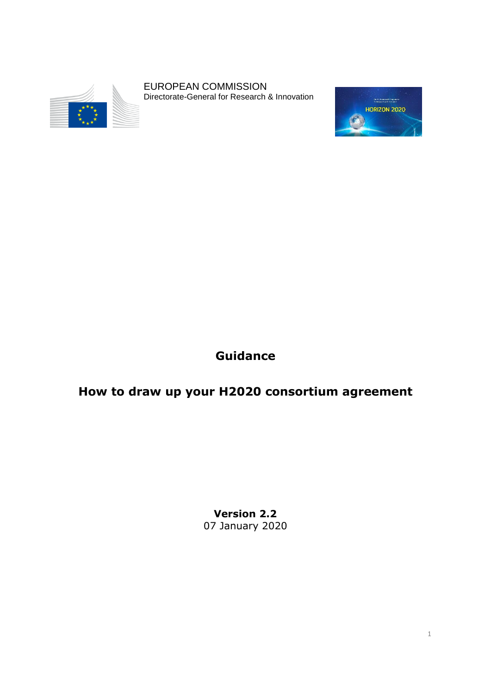

EUROPEAN COMMISSION Directorate-General for Research & Innovation



## **Guidance**

# **How to draw up your H2020 consortium agreement**

**Version 2.2** 07 January 2020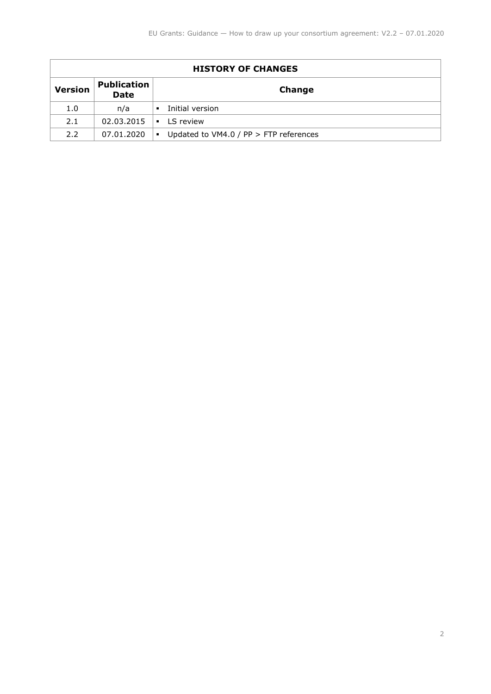| <b>HISTORY OF CHANGES</b> |                                   |                                                          |  |  |
|---------------------------|-----------------------------------|----------------------------------------------------------|--|--|
| <b>Version</b>            | <b>Publication</b><br><b>Date</b> | Change                                                   |  |  |
| 1.0                       | n/a                               | Initial version<br>٠                                     |  |  |
| 2.1                       | 02.03.2015                        | $\blacksquare$ IS review                                 |  |  |
| 2.2                       | 07.01.2020                        | Updated to VM4.0 / PP > FTP references<br>$\blacksquare$ |  |  |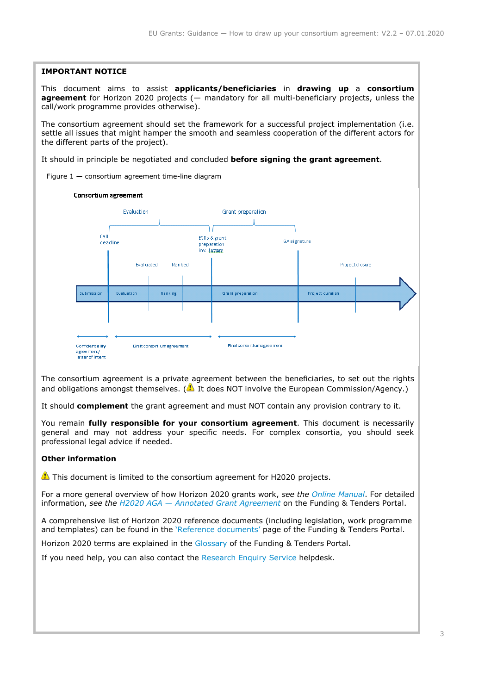#### **IMPORTANT NOTICE**

This document aims to assist **applicants/beneficiaries** in **drawing up** a **consortium agreement** for Horizon 2020 projects (— mandatory for all multi-beneficiary projects, unless the call/work programme provides otherwise).

The consortium agreement should set the framework for a successful project implementation (i.e. settle all issues that might hamper the smooth and seamless cooperation of the different actors for the different parts of the project).

It should in principle be negotiated and concluded **before signing the grant agreement**.

Figure  $1 -$  consortium agreement time-line diagram



The consortium agreement is a private agreement between the beneficiaries, to set out the rights and obligations amongst themselves. ( $\triangle$  It does NOT involve the European Commission/Agency.)

It should **complement** the grant agreement and must NOT contain any provision contrary to it.

You remain **fully responsible for your consortium agreement**. This document is necessarily general and may not address your specific needs. For complex consortia, you should seek professional legal advice if needed.

#### **Other information**

This document is limited to the consortium agreement for H2020 projects.

For a more general overview of how Horizon 2020 grants work, *see the [Online Manual](http://ec.europa.eu/research/participants/portal/desktop/en/funding/guide.html)*. For detailed information, *see the H2020 AGA — [Annotated Grant Agreement](http://ec.europa.eu/research/participants/data/ref/h2020/grants_manual/amga/h2020-amga_en.pdf)* on the Funding & Tenders Portal.

A comprehensive list of Horizon 2020 reference documents (including legislation, work programme and templates) can be found in the '[Reference documents](http://ec.europa.eu/research/participants/portal/desktop/en/funding/reference_docs.html)' page of the Funding & Tenders Portal.

Horizon 2020 terms are explained in the [Glossary](http://ec.europa.eu/research/participants/portal/desktop/en/support/reference_terms.html) of the Funding & Tenders Portal.

If you need help, you can also contact the [Research Enquiry Service](http://ec.europa.eu/research/index.cfm?pg=enquiries) helpdesk.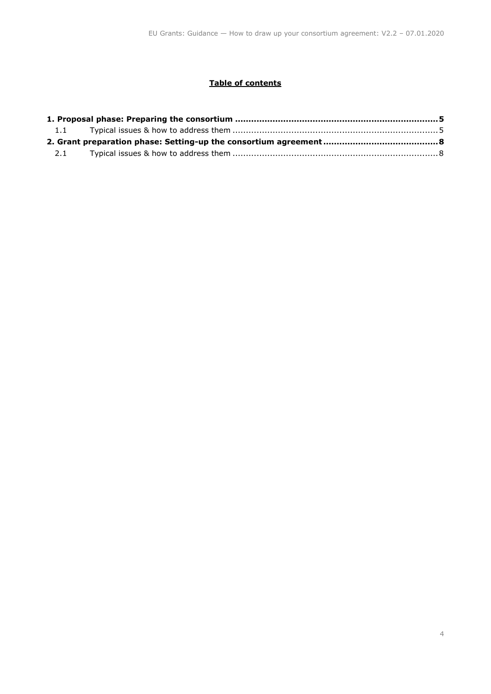#### **Table of contents**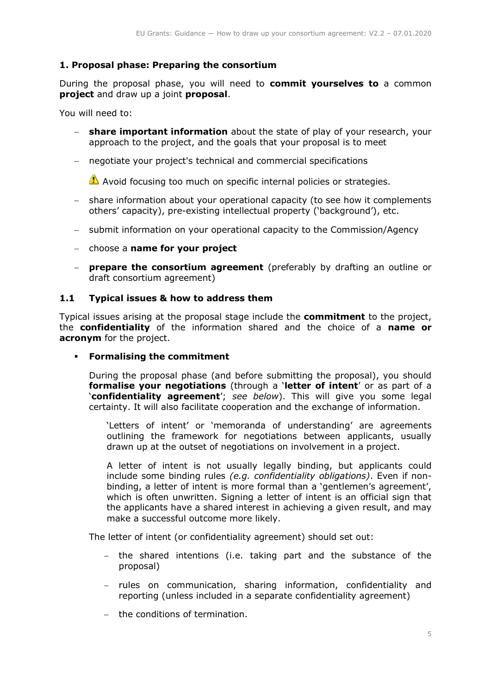## <span id="page-4-0"></span>**1. Proposal phase: Preparing the consortium**

During the proposal phase, you will need to **commit yourselves to** a common **project** and draw up a joint **proposal**.

You will need to:

- **share important information** about the state of play of your research, your approach to the project, and the goals that your proposal is to meet
- negotiate your project's technical and commercial specifications

Avoid focusing too much on specific internal policies or strategies.

- share information about your operational capacity (to see how it complements others' capacity), pre-existing intellectual property ('background'), etc.
- submit information on your operational capacity to the Commission/Agency
- choose a **name for your project**
- **prepare the consortium agreement** (preferably by drafting an outline or draft consortium agreement)

#### <span id="page-4-1"></span>**1.1 Typical issues & how to address them**

Typical issues arising at the proposal stage include the **commitment** to the project, the **confidentiality** of the information shared and the choice of a **name or acronym** for the project.

**Formalising the commitment** 

During the proposal phase (and before submitting the proposal), you should **formalise your negotiations** (through a '**letter of intent**' or as part of a '**confidentiality agreement**'; *see below*). This will give you some legal certainty. It will also facilitate cooperation and the exchange of information.

'Letters of intent' or 'memoranda of understanding' are agreements outlining the framework for negotiations between applicants, usually drawn up at the outset of negotiations on involvement in a project.

A letter of intent is not usually legally binding, but applicants could include some binding rules *(e.g. confidentiality obligations)*. Even if nonbinding, a letter of intent is more formal than a 'gentlemen's agreement', which is often unwritten. Signing a letter of intent is an official sign that the applicants have a shared interest in achieving a given result, and may make a successful outcome more likely.

The letter of intent (or confidentiality agreement) should set out:

- the shared intentions (i.e. taking part and the substance of the proposal)
- rules on communication, sharing information, confidentiality and reporting (unless included in a separate confidentiality agreement)
- the conditions of termination.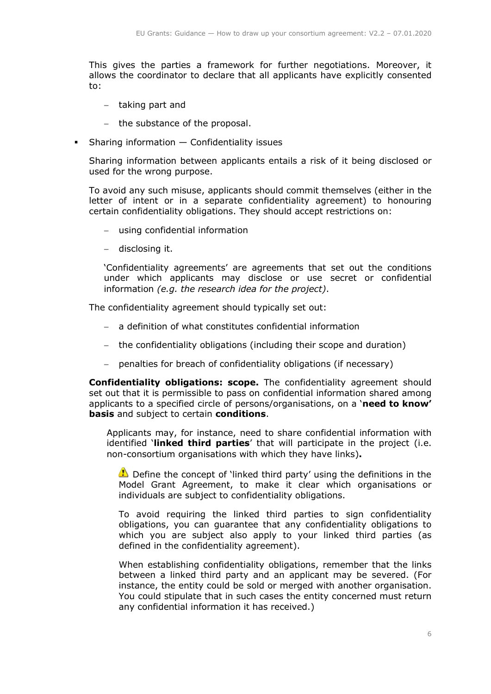This gives the parties a framework for further negotiations. Moreover, it allows the coordinator to declare that all applicants have explicitly consented to:

- $-$  taking part and
- the substance of the proposal.
- Sharing information Confidentiality issues

Sharing information between applicants entails a risk of it being disclosed or used for the wrong purpose.

To avoid any such misuse, applicants should commit themselves (either in the letter of intent or in a separate confidentiality agreement) to honouring certain confidentiality obligations. They should accept restrictions on:

- using confidential information
- disclosing it.

'Confidentiality agreements' are agreements that set out the conditions under which applicants may disclose or use secret or confidential information *(e.g. the research idea for the project)*.

The confidentiality agreement should typically set out:

- a definition of what constitutes confidential information
- the confidentiality obligations (including their scope and duration)
- penalties for breach of confidentiality obligations (if necessary)

**Confidentiality obligations: scope.** The confidentiality agreement should set out that it is permissible to pass on confidential information shared among applicants to a specified circle of persons/organisations, on a '**need to know' basis** and subject to certain **conditions**.

Applicants may, for instance, need to share confidential information with identified '**linked third parties**' that will participate in the project (i.e. non-consortium organisations with which they have links)**.** 

Define the concept of 'linked third party' using the definitions in the Model Grant Agreement, to make it clear which organisations or individuals are subject to confidentiality obligations.

To avoid requiring the linked third parties to sign confidentiality obligations, you can guarantee that any confidentiality obligations to which you are subject also apply to your linked third parties (as defined in the confidentiality agreement).

When establishing confidentiality obligations, remember that the links between a linked third party and an applicant may be severed. (For instance, the entity could be sold or merged with another organisation. You could stipulate that in such cases the entity concerned must return any confidential information it has received.)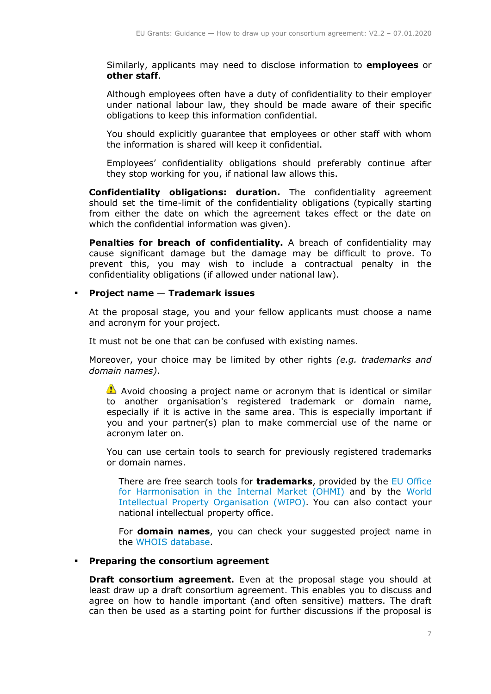Similarly, applicants may need to disclose information to **employees** or **other staff**.

Although employees often have a duty of confidentiality to their employer under national labour law, they should be made aware of their specific obligations to keep this information confidential.

You should explicitly guarantee that employees or other staff with whom the information is shared will keep it confidential.

Employees' confidentiality obligations should preferably continue after they stop working for you, if national law allows this.

**Confidentiality obligations: duration.** The confidentiality agreement should set the time-limit of the confidentiality obligations (typically starting from either the date on which the agreement takes effect or the date on which the confidential information was given).

**Penalties for breach of confidentiality.** A breach of confidentiality may cause significant damage but the damage may be difficult to prove. To prevent this, you may wish to include a contractual penalty in the confidentiality obligations (if allowed under national law).

#### **Project name** — **Trademark issues**

At the proposal stage, you and your fellow applicants must choose a name and acronym for your project.

It must not be one that can be confused with existing names.

Moreover, your choice may be limited by other rights *(e.g. trademarks and domain names)*.

Avoid choosing a project name or acronym that is identical or similar to another organisation's registered trademark or domain name, especially if it is active in the same area. This is especially important if you and your partner(s) plan to make commercial use of the name or acronym later on.

You can use certain tools to search for previously registered trademarks or domain names.

There are free search tools for **trademarks**, provided by the EU [Office](https://oami.europa.eu/ohimportal/en/)  [for Harmonisation in the Internal Market \(OHMI\)](https://oami.europa.eu/ohimportal/en/) and by the [World](http://www.wipo.int/portal/en/index.html)  [Intellectual Property Organisation](http://www.wipo.int/portal/en/index.html) (WIPO). You can also contact your national intellectual property office.

For **domain names**, you can check your suggested project name in the [WHOIS database.](https://www.whois.net/)

#### **Preparing the consortium agreement**

**Draft consortium agreement.** Even at the proposal stage you should at least draw up a draft consortium agreement. This enables you to discuss and agree on how to handle important (and often sensitive) matters. The draft can then be used as a starting point for further discussions if the proposal is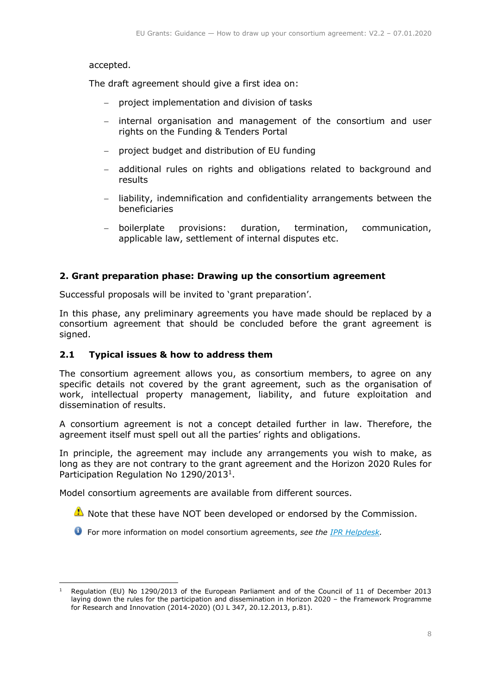#### accepted.

The draft agreement should give a first idea on:

- project implementation and division of tasks
- internal organisation and management of the consortium and user rights on the Funding & Tenders Portal
- project budget and distribution of EU funding
- additional rules on rights and obligations related to background and results
- liability, indemnification and confidentiality arrangements between the beneficiaries
- <span id="page-7-1"></span> boilerplate provisions: duration, termination, communication, applicable law, settlement of internal disputes etc.

#### <span id="page-7-0"></span>**2. Grant preparation phase: Drawing up the consortium agreement**

Successful proposals will be invited to 'grant preparation'.

In this phase, any preliminary agreements you have made should be replaced by a consortium agreement that should be concluded before the grant agreement is signed.

#### **2.1 Typical issues & how to address them**

The consortium agreement allows you, as consortium members, to agree on any specific details not covered by the grant agreement, such as the organisation of work, intellectual property management, liability, and future exploitation and dissemination of results.

A consortium agreement is not a concept detailed further in law. Therefore, the agreement itself must spell out all the parties' rights and obligations.

In principle, the agreement may include any arrangements you wish to make, as long as they are not contrary to the grant agreement and the Horizon 2020 Rules for Participation Regulation No 1290/2013<sup>1</sup>.

Model consortium agreements are available from different sources.

- Note that these have NOT been developed or endorsed by the Commission.
- For more information on model consortium agreements, *see the [IPR Helpdesk.](https://www.iprhelpdesk.eu/library)*

<sup>-</sup>Regulation (EU) No 1290/2013 of the European Parliament and of the Council of 11 of December 2013 laying down the rules for the participation and dissemination in Horizon 2020 – the Framework Programme for Research and Innovation (2014-2020) (OJ L 347, 20.12.2013, p.81).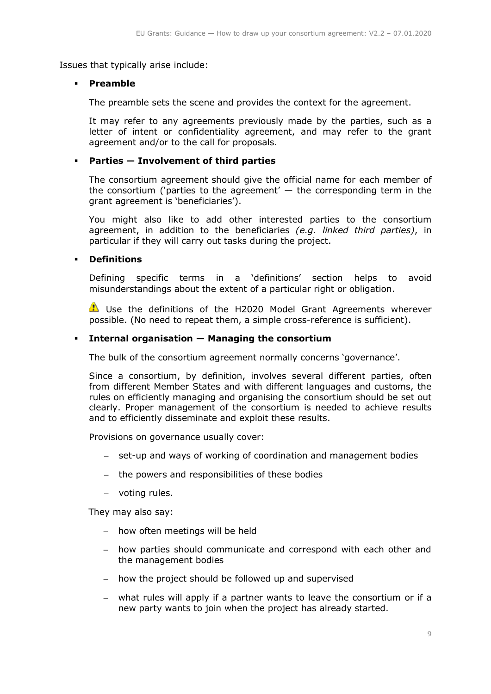Issues that typically arise include:

#### **Preamble**

The preamble sets the scene and provides the context for the agreement.

It may refer to any agreements previously made by the parties, such as a letter of intent or confidentiality agreement, and may refer to the grant agreement and/or to the call for proposals.

## **Parties — Involvement of third parties**

The consortium agreement should give the official name for each member of the consortium ('parties to the agreement'  $-$  the corresponding term in the grant agreement is 'beneficiaries').

You might also like to add other interested parties to the consortium agreement, in addition to the beneficiaries *(e.g. linked third parties)*, in particular if they will carry out tasks during the project.

#### **Definitions**

Defining specific terms in a 'definitions' section helps to avoid misunderstandings about the extent of a particular right or obligation.

Use the definitions of the H2020 Model Grant Agreements wherever possible. (No need to repeat them, a simple cross-reference is sufficient).

#### **Internal organisation — Managing the consortium**

The bulk of the consortium agreement normally concerns 'governance'.

Since a consortium, by definition, involves several different parties, often from different Member States and with different languages and customs, the rules on efficiently managing and organising the consortium should be set out clearly. Proper management of the consortium is needed to achieve results and to efficiently disseminate and exploit these results.

Provisions on governance usually cover:

- set-up and ways of working of coordination and management bodies
- the powers and responsibilities of these bodies
- voting rules.

They may also say:

- how often meetings will be held
- how parties should communicate and correspond with each other and the management bodies
- how the project should be followed up and supervised
- what rules will apply if a partner wants to leave the consortium or if a new party wants to join when the project has already started.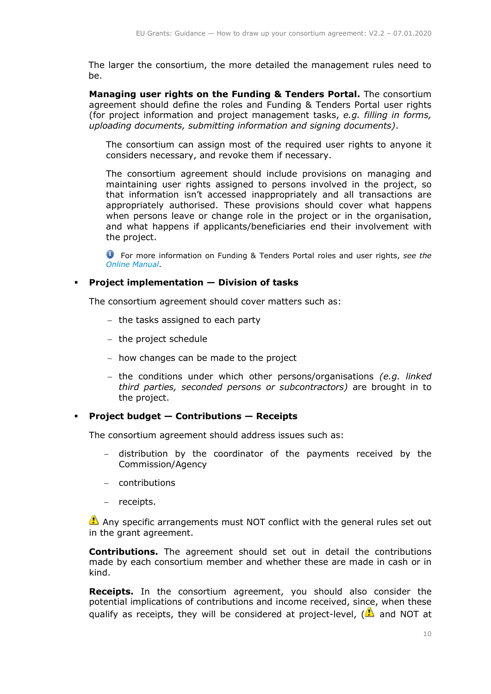The larger the consortium, the more detailed the management rules need to be.

**Managing user rights on the Funding & Tenders Portal.** The consortium agreement should define the roles and Funding & Tenders Portal user rights (for project information and project management tasks, *e.g. filling in forms, uploading documents, submitting information and signing documents)*.

The consortium can assign most of the required user rights to anyone it considers necessary, and revoke them if necessary.

The consortium agreement should include provisions on managing and maintaining user rights assigned to persons involved in the project, so that information isn't accessed inappropriately and all transactions are appropriately authorised. These provisions should cover what happens when persons leave or change role in the project or in the organisation, and what happens if applicants/beneficiaries end their involvement with the project.

For more information on Funding & Tenders Portal roles and user rights, *see the [Online Manual](http://ec.europa.eu/research/participants/portal/desktop/en/funding/guide.html)*.

#### **Project implementation — Division of tasks**

The consortium agreement should cover matters such as:

- $-$  the tasks assigned to each party
- $-$  the project schedule
- $-$  how changes can be made to the project
- the conditions under which other persons/organisations *(e.g. linked third parties, seconded persons or subcontractors)* are brought in to the project.

#### **Project budget — Contributions — Receipts**

The consortium agreement should address issues such as:

- distribution by the coordinator of the payments received by the Commission/Agency
- contributions
- receipts.

Any specific arrangements must NOT conflict with the general rules set out in the grant agreement.

**Contributions.** The agreement should set out in detail the contributions made by each consortium member and whether these are made in cash or in kind.

**Receipts.** In the consortium agreement, you should also consider the potential implications of contributions and income received, since, when these qualify as receipts, they will be considered at project-level,  $\left(\frac{1}{2}\right)$  and NOT at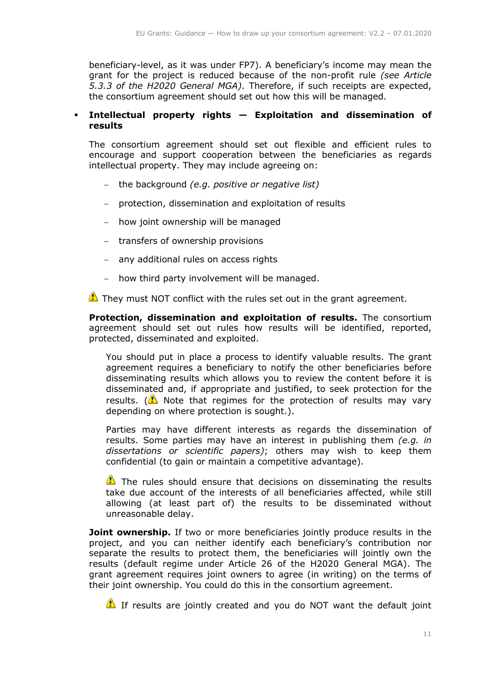beneficiary-level, as it was under FP7). A beneficiary's income may mean the grant for the project is reduced because of the non-profit rule *(see Article 5.3.3 of the H2020 General MGA)*. Therefore, if such receipts are expected, the consortium agreement should set out how this will be managed.

#### **Intellectual property rights — Exploitation and dissemination of results**

The consortium agreement should set out flexible and efficient rules to encourage and support cooperation between the beneficiaries as regards intellectual property. They may include agreeing on:

- the background *(e.g. positive or negative list)*
- protection, dissemination and exploitation of results
- how joint ownership will be managed
- transfers of ownership provisions
- any additional rules on access rights
- how third party involvement will be managed.

They must NOT conflict with the rules set out in the grant agreement.

**Protection, dissemination and exploitation of results.** The consortium agreement should set out rules how results will be identified, reported, protected, disseminated and exploited.

You should put in place a process to identify valuable results. The grant agreement requires a beneficiary to notify the other beneficiaries before disseminating results which allows you to review the content before it is disseminated and, if appropriate and justified, to seek protection for the results. ( $\triangle$ ) Note that regimes for the protection of results may vary depending on where protection is sought.).

Parties may have different interests as regards the dissemination of results. Some parties may have an interest in publishing them *(e.g. in dissertations or scientific papers)*; others may wish to keep them confidential (to gain or maintain a competitive advantage).

The rules should ensure that decisions on disseminating the results take due account of the interests of all beneficiaries affected, while still allowing (at least part of) the results to be disseminated without unreasonable delay.

**Joint ownership.** If two or more beneficiaries jointly produce results in the project, and you can neither identify each beneficiary's contribution nor separate the results to protect them, the beneficiaries will jointly own the results (default regime under Article 26 of the H2020 General MGA). The grant agreement requires joint owners to agree (in writing) on the terms of their joint ownership. You could do this in the consortium agreement.

If results are jointly created and you do NOT want the default joint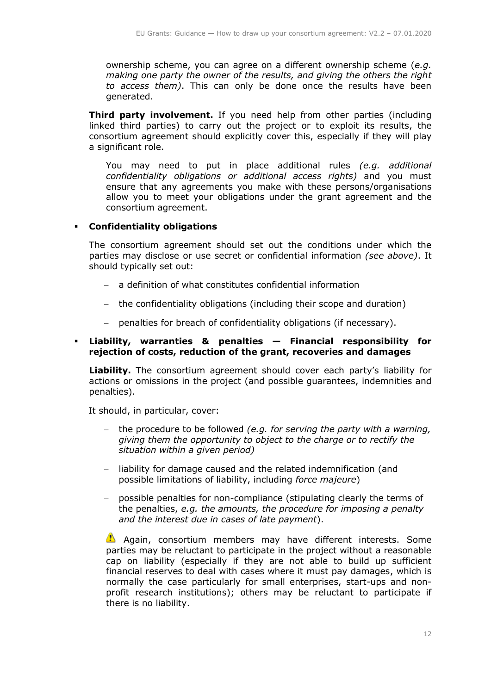ownership scheme, you can agree on a different ownership scheme (*e.g. making one party the owner of the results, and giving the others the right to access them)*. This can only be done once the results have been generated.

**Third party involvement.** If you need help from other parties (including linked third parties) to carry out the project or to exploit its results, the consortium agreement should explicitly cover this, especially if they will play a significant role.

You may need to put in place additional rules *(e.g. additional confidentiality obligations or additional access rights)* and you must ensure that any agreements you make with these persons/organisations allow you to meet your obligations under the grant agreement and the consortium agreement.

## **Confidentiality obligations**

The consortium agreement should set out the conditions under which the parties may disclose or use secret or confidential information *(see above)*. It should typically set out:

- a definition of what constitutes confidential information
- the confidentiality obligations (including their scope and duration)
- penalties for breach of confidentiality obligations (if necessary).

#### **Liability, warranties & penalties — Financial responsibility for rejection of costs, reduction of the grant, recoveries and damages**

**Liability.** The consortium agreement should cover each party's liability for actions or omissions in the project (and possible guarantees, indemnities and penalties).

It should, in particular, cover:

- the procedure to be followed *(e.g. for serving the party with a warning, giving them the opportunity to object to the charge or to rectify the situation within a given period)*
- liability for damage caused and the related indemnification (and possible limitations of liability, including *force majeure*)
- possible penalties for non-compliance (stipulating clearly the terms of the penalties, *e.g. the amounts, the procedure for imposing a penalty and the interest due in cases of late payment*).

Again, consortium members may have different interests. Some parties may be reluctant to participate in the project without a reasonable cap on liability (especially if they are not able to build up sufficient financial reserves to deal with cases where it must pay damages, which is normally the case particularly for small enterprises, start-ups and nonprofit research institutions); others may be reluctant to participate if there is no liability.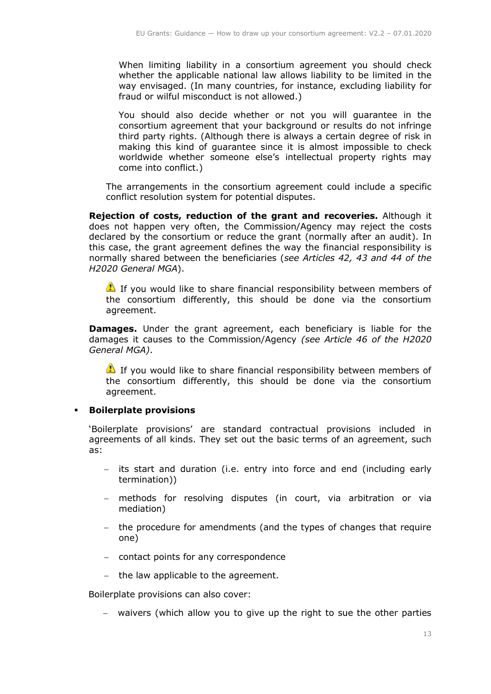When limiting liability in a consortium agreement you should check whether the applicable national law allows liability to be limited in the way envisaged. (In many countries, for instance, excluding liability for fraud or wilful misconduct is not allowed.)

You should also decide whether or not you will guarantee in the consortium agreement that your background or results do not infringe third party rights. (Although there is always a certain degree of risk in making this kind of guarantee since it is almost impossible to check worldwide whether someone else's intellectual property rights may come into conflict.)

The arrangements in the consortium agreement could include a specific conflict resolution system for potential disputes.

**Rejection of costs, reduction of the grant and recoveries.** Although it does not happen very often, the Commission/Agency may reject the costs declared by the consortium or reduce the grant (normally after an audit). In this case, the grant agreement defines the way the financial responsibility is normally shared between the beneficiaries (*see Articles 42, 43 and 44 of the H2020 General MGA*).

 $\bullet$  If you would like to share financial responsibility between members of the consortium differently, this should be done via the consortium agreement.

**Damages.** Under the grant agreement, each beneficiary is liable for the damages it causes to the Commission/Agency *(see Article 46 of the H2020 General MGA)*.

 $\bullet$  If you would like to share financial responsibility between members of the consortium differently, this should be done via the consortium agreement.

#### **Boilerplate provisions**

'Boilerplate provisions' are standard contractual provisions included in agreements of all kinds. They set out the basic terms of an agreement, such as:

- its start and duration (i.e. entry into force and end (including early termination))
- methods for resolving disputes (in court, via arbitration or via mediation)
- the procedure for amendments (and the types of changes that require one)
- contact points for any correspondence
- $-$  the law applicable to the agreement.

Boilerplate provisions can also cover:

waivers (which allow you to give up the right to sue the other parties